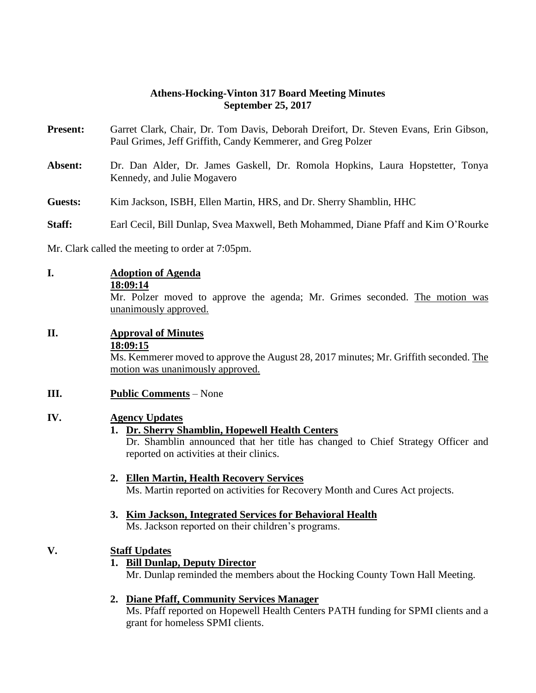#### **Athens-Hocking-Vinton 317 Board Meeting Minutes September 25, 2017**

- **Present:** Garret Clark, Chair, Dr. Tom Davis, Deborah Dreifort, Dr. Steven Evans, Erin Gibson, Paul Grimes, Jeff Griffith, Candy Kemmerer, and Greg Polzer
- **Absent:** Dr. Dan Alder, Dr. James Gaskell, Dr. Romola Hopkins, Laura Hopstetter, Tonya Kennedy, and Julie Mogavero
- **Guests:** Kim Jackson, ISBH, Ellen Martin, HRS, and Dr. Sherry Shamblin, HHC
- **Staff:** Earl Cecil, Bill Dunlap, Svea Maxwell, Beth Mohammed, Diane Pfaff and Kim O'Rourke

Mr. Clark called the meeting to order at 7:05pm.

**I. Adoption of Agenda 18:09:14** Mr. Polzer moved to approve the agenda; Mr. Grimes seconded. The motion was unanimously approved.

## **II. Approval of Minutes**

**18:09:15**

Ms. Kemmerer moved to approve the August 28, 2017 minutes; Mr. Griffith seconded. The motion was unanimously approved.

#### **III. Public Comments** – None

#### **IV. Agency Updates**

#### **1. Dr. Sherry Shamblin, Hopewell Health Centers**

Dr. Shamblin announced that her title has changed to Chief Strategy Officer and reported on activities at their clinics.

#### **2. Ellen Martin, Health Recovery Services**

Ms. Martin reported on activities for Recovery Month and Cures Act projects.

# **3. Kim Jackson, Integrated Services for Behavioral Health**

Ms. Jackson reported on their children's programs.

#### **V. Staff Updates**

**1. Bill Dunlap, Deputy Director** Mr. Dunlap reminded the members about the Hocking County Town Hall Meeting.

#### **2. Diane Pfaff, Community Services Manager**

Ms. Pfaff reported on Hopewell Health Centers PATH funding for SPMI clients and a grant for homeless SPMI clients.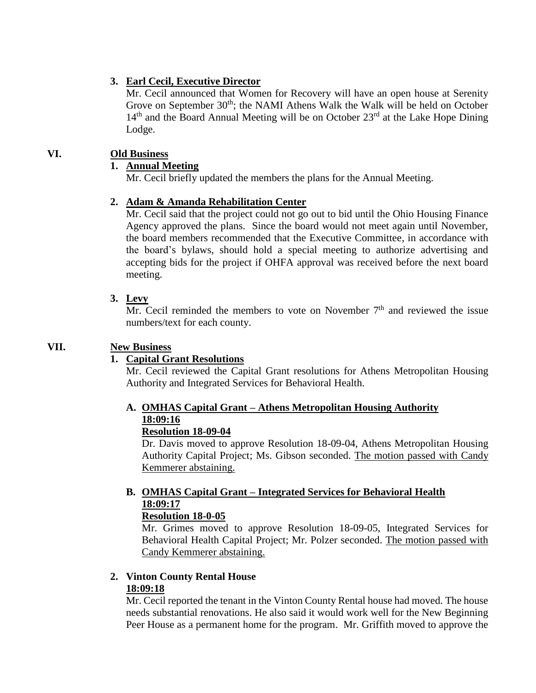### **3. Earl Cecil, Executive Director**

Mr. Cecil announced that Women for Recovery will have an open house at Serenity Grove on September  $30<sup>th</sup>$ ; the NAMI Athens Walk the Walk will be held on October 14<sup>th</sup> and the Board Annual Meeting will be on October 23<sup>rd</sup> at the Lake Hope Dining Lodge.

## **VI. Old Business**

### **1. Annual Meeting**

Mr. Cecil briefly updated the members the plans for the Annual Meeting.

#### **2. Adam & Amanda Rehabilitation Center**

Mr. Cecil said that the project could not go out to bid until the Ohio Housing Finance Agency approved the plans. Since the board would not meet again until November, the board members recommended that the Executive Committee, in accordance with the board's bylaws, should hold a special meeting to authorize advertising and accepting bids for the project if OHFA approval was received before the next board meeting.

#### **3. Levy**

 $\overline{Mr}$ . Cecil reminded the members to vote on November  $7<sup>th</sup>$  and reviewed the issue numbers/text for each county.

#### **VII. New Business**

#### **1. Capital Grant Resolutions**

Mr. Cecil reviewed the Capital Grant resolutions for Athens Metropolitan Housing Authority and Integrated Services for Behavioral Health.

# **A. OMHAS Capital Grant – Athens Metropolitan Housing Authority 18:09:16**

#### **Resolution 18-09-04**

Dr. Davis moved to approve Resolution 18-09-04, Athens Metropolitan Housing Authority Capital Project; Ms. Gibson seconded. The motion passed with Candy Kemmerer abstaining.

# **B. OMHAS Capital Grant – Integrated Services for Behavioral Health 18:09:17**

#### **Resolution 18-0-05**

Mr. Grimes moved to approve Resolution 18-09-05, Integrated Services for Behavioral Health Capital Project; Mr. Polzer seconded. The motion passed with Candy Kemmerer abstaining.

#### **2. Vinton County Rental House 18:09:18**

Mr. Cecil reported the tenant in the Vinton County Rental house had moved. The house needs substantial renovations. He also said it would work well for the New Beginning Peer House as a permanent home for the program. Mr. Griffith moved to approve the